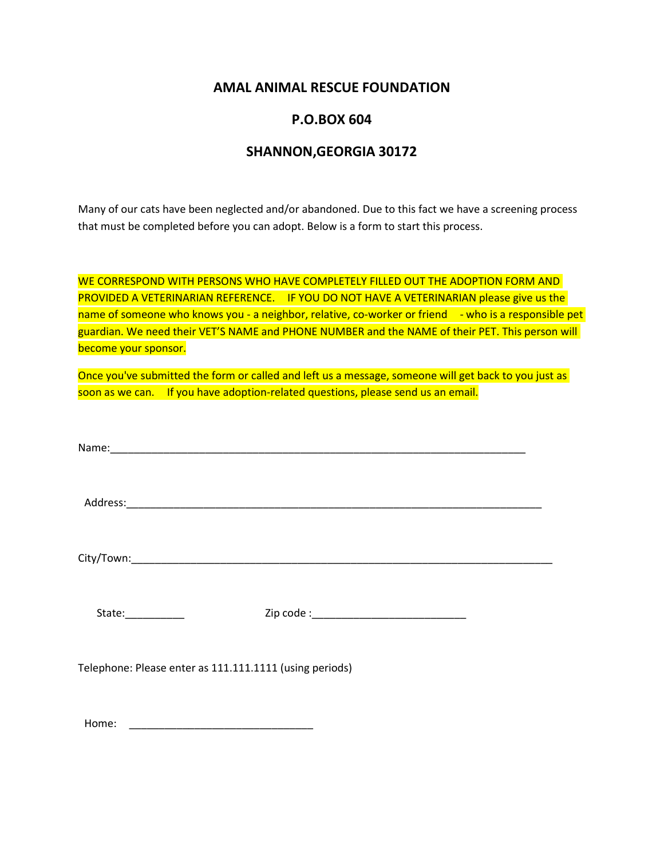## **AMAL ANIMAL RESCUE FOUNDATION**

## **P.O.BOX 604**

## **SHANNON,GEORGIA 30172**

Many of our cats have been neglected and/or abandoned. Due to this fact we have a screening process that must be completed before you can adopt. Below is a form to start this process.

WE CORRESPOND WITH PERSONS WHO HAVE COMPLETELY FILLED OUT THE ADOPTION FORM AND PROVIDED A VETERINARIAN REFERENCE. IF YOU DO NOT HAVE A VETERINARIAN please give us the name of someone who knows you - a neighbor, relative, co-worker or friend - who is a responsible pet guardian. We need their VET'S NAME and PHONE NUMBER and the NAME of their PET. This person will become your sponsor.

Once you've submitted the form or called and left us a message, someone will get back to you just as soon as we can. If you have adoption-related questions, please send us an email.

Name:\_\_\_\_\_\_\_\_\_\_\_\_\_\_\_\_\_\_\_\_\_\_\_\_\_\_\_\_\_\_\_\_\_\_\_\_\_\_\_\_\_\_\_\_\_\_\_\_\_\_\_\_\_\_\_\_\_\_\_\_\_\_\_\_\_\_\_\_\_\_

Address:\_\_\_\_\_\_\_\_\_\_\_\_\_\_\_\_\_\_\_\_\_\_\_\_\_\_\_\_\_\_\_\_\_\_\_\_\_\_\_\_\_\_\_\_\_\_\_\_\_\_\_\_\_\_\_\_\_\_\_\_\_\_\_\_\_\_\_\_\_\_

City/Town:\_\_\_\_\_\_\_\_\_\_\_\_\_\_\_\_\_\_\_\_\_\_\_\_\_\_\_\_\_\_\_\_\_\_\_\_\_\_\_\_\_\_\_\_\_\_\_\_\_\_\_\_\_\_\_\_\_\_\_\_\_\_\_\_\_\_\_\_\_\_\_

State:\_\_\_\_\_\_\_\_\_\_ Zip code :\_\_\_\_\_\_\_\_\_\_\_\_\_\_\_\_\_\_\_\_\_\_\_\_\_\_

Telephone: Please enter as 111.111.1111 (using periods)

Home: \_\_\_\_\_\_\_\_\_\_\_\_\_\_\_\_\_\_\_\_\_\_\_\_\_\_\_\_\_\_\_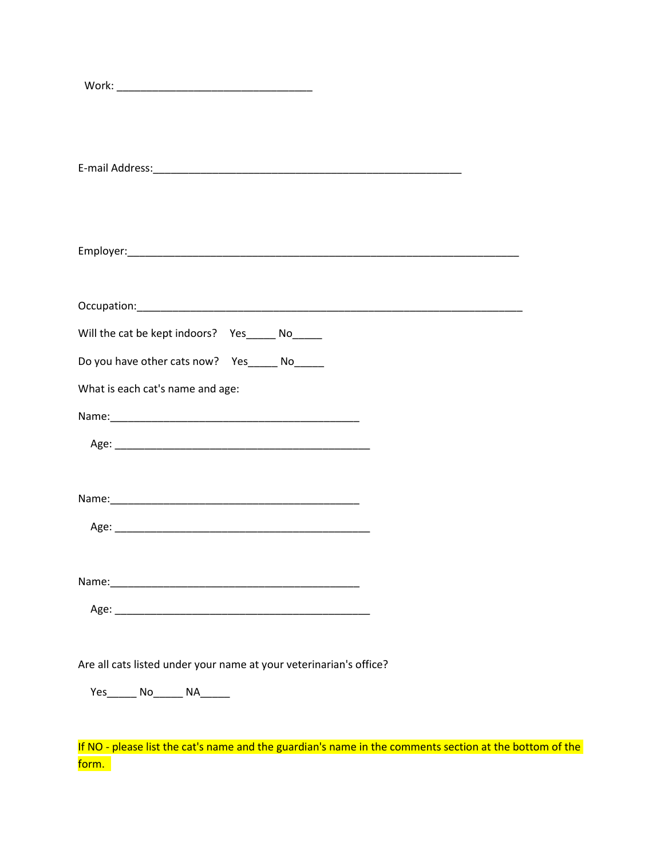| Will the cat be kept indoors?  Yes______ No______                  |
|--------------------------------------------------------------------|
| Do you have other cats now? Yes______ No_____                      |
|                                                                    |
| What is each cat's name and age:                                   |
|                                                                    |
|                                                                    |
|                                                                    |
|                                                                    |
|                                                                    |
|                                                                    |
|                                                                    |
|                                                                    |
|                                                                    |
|                                                                    |
|                                                                    |
|                                                                    |
|                                                                    |
|                                                                    |
|                                                                    |
| Are all cats listed under your name at your veterinarian's office? |
|                                                                    |
| Yes________ No________ NA_______                                   |
|                                                                    |

If NO - please list the cat's name and the guardian's name in the comments section at the bottom of the <mark>form.</mark>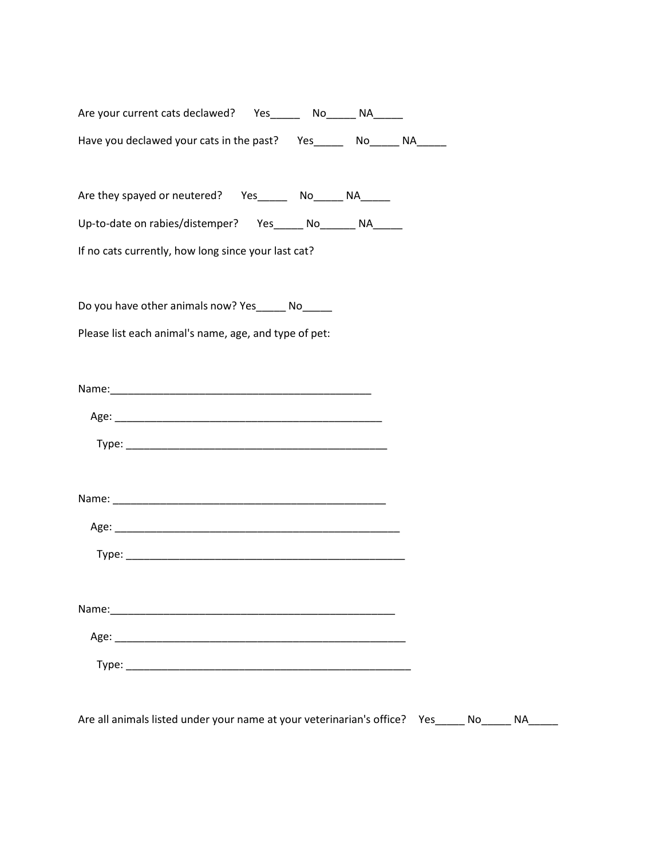| Are your current cats declawed?          | Yes |      |  |
|------------------------------------------|-----|------|--|
| Have you declawed your cats in the past? |     | Yes. |  |

Are they spayed or neutered? Yes\_\_\_\_\_ No\_\_\_\_\_ NA\_\_\_\_\_

Up-to-date on rabies/distemper? Yes\_\_\_\_\_ No\_\_\_\_\_\_ NA\_\_\_\_\_

If no cats currently, how long since your last cat?

Do you have other animals now? Yes\_\_\_\_\_ No\_\_\_\_\_

Please list each animal's name, age, and type of pet:

Are all animals listed under your name at your veterinarian's office? Yes\_\_\_\_\_ No\_\_\_\_\_ NA\_\_\_\_\_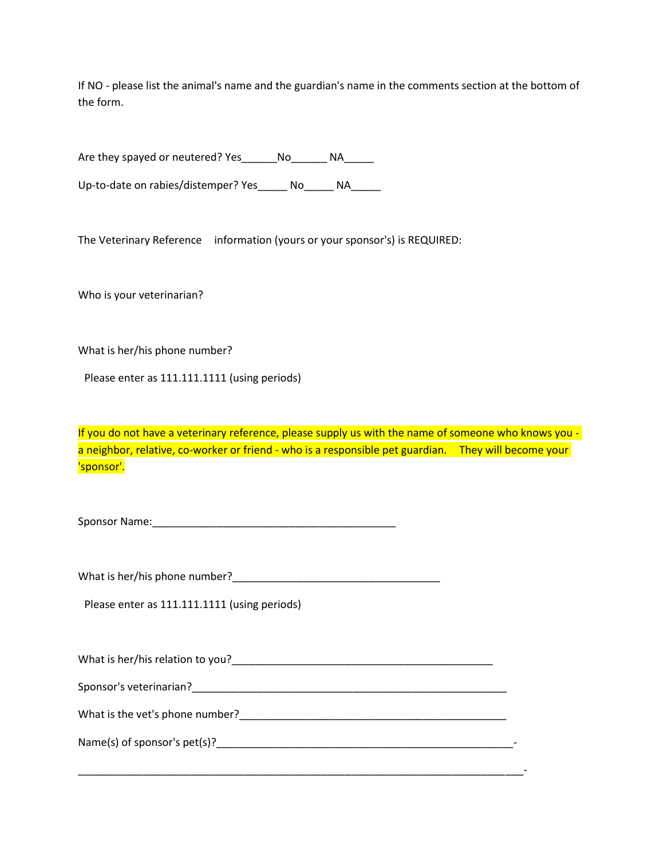If NO - please list the animal's name and the guardian's name in the comments section at the bottom of the form.

Are they spayed or neutered? Yes Mo MA

Up-to-date on rabies/distemper? Yes \_\_\_\_ No \_\_\_\_ NA

The Veterinary Reference information (yours or your sponsor's) is REQUIRED:

Who is your veterinarian?

What is her/his phone number?

Please enter as 111.111.1111 (using periods)

If you do not have a veterinary reference, please supply us with the name of someone who knows you a neighbor, relative, co-worker or friend - who is a responsible pet guardian. They will become your 'sponsor'.

Sponsor Name:\_\_\_\_\_\_\_\_\_\_\_\_\_\_\_\_\_\_\_\_\_\_\_\_\_\_\_\_\_\_\_\_\_\_\_\_\_\_\_\_\_

What is her/his phone number?

Please enter as 111.111.1111 (using periods)

What is her/his relation to you?

Sponsor's veterinarian?<br>
Sponsor's veterinarian?

What is the vet's phone number? The same state of the same state of the same state of the same state of the same state of the same state of the same state of the same state of the same state of the same state of the same s

Name(s) of sponsor's  $pet(s)$ ?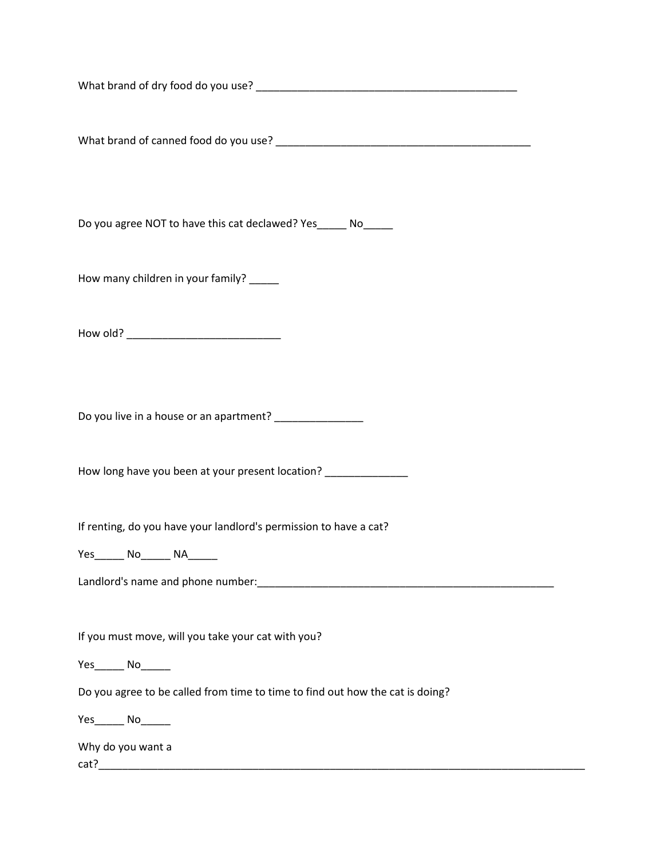What brand of dry food do you use? **What brand of dry food do you use?** 

What brand of canned food do you use? \_\_\_\_\_\_\_\_\_\_\_\_\_\_\_\_\_\_\_\_\_\_\_\_\_\_\_\_\_\_\_\_\_\_\_\_\_\_\_\_\_\_\_

Do you agree NOT to have this cat declawed? Yes\_\_\_\_\_ No\_\_\_\_\_

How many children in your family? \_\_\_\_\_

How old? \_\_\_\_\_\_\_\_\_\_\_\_\_\_\_\_\_\_\_\_\_\_\_\_\_\_

Do you live in a house or an apartment? \_\_\_\_\_\_\_\_\_\_\_\_\_\_\_

How long have you been at your present location?

If renting, do you have your landlord's permission to have a cat?

Yes\_\_\_\_\_\_\_ No\_\_\_\_\_\_\_ NA\_\_\_\_\_\_\_

Landlord's name and phone number:\_\_\_\_\_\_\_\_\_\_\_\_\_\_\_\_\_\_\_\_\_\_\_\_\_\_\_\_\_\_\_\_\_\_\_\_\_\_\_\_\_\_\_\_\_\_\_\_\_\_

If you must move, will you take your cat with you?

Yes\_\_\_\_\_\_\_ No\_\_\_\_\_\_\_

Do you agree to be called from time to time to find out how the cat is doing?

Yes\_\_\_\_\_\_ No\_\_\_\_\_\_

Why do you want a

cat?